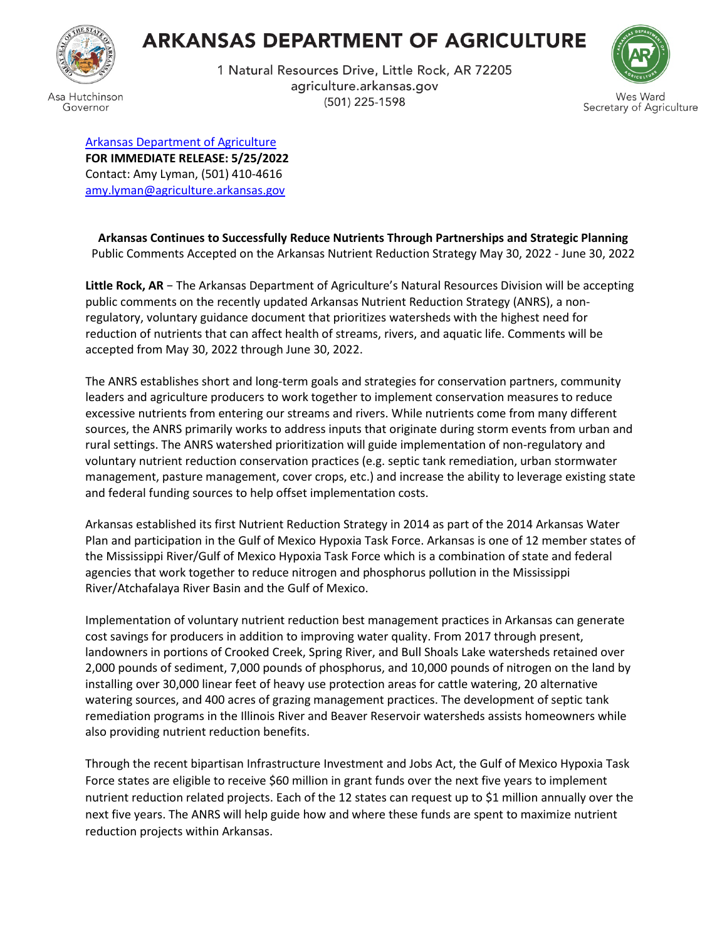

Governor

## **ARKANSAS DEPARTMENT OF AGRICULTURE**

1 Natural Resources Drive, Little Rock, AR 72205 agriculture.arkansas.gov (501) 225-1598



[Arkansas Department of Agriculture](https://www.agriculture.arkansas.gov/) **FOR IMMEDIATE RELEASE: 5/25/2022** Contact: Amy Lyman, (501) 410-4616 [amy.lyman@agriculture.arkansas.gov](mailto:amy.lyman@agriculture.arkansas.gov)

**Arkansas Continues to Successfully Reduce Nutrients Through Partnerships and Strategic Planning** Public Comments Accepted on the Arkansas Nutrient Reduction Strategy May 30, 2022 - June 30, 2022

**Little Rock, AR** − The Arkansas Department of Agriculture's Natural Resources Division will be accepting public comments on the recently updated Arkansas Nutrient Reduction Strategy (ANRS), a nonregulatory, voluntary guidance document that prioritizes watersheds with the highest need for reduction of nutrients that can affect health of streams, rivers, and aquatic life. Comments will be accepted from May 30, 2022 through June 30, 2022.

The ANRS establishes short and long-term goals and strategies for conservation partners, community leaders and agriculture producers to work together to implement conservation measures to reduce excessive nutrients from entering our streams and rivers. While nutrients come from many different sources, the ANRS primarily works to address inputs that originate during storm events from urban and rural settings. The ANRS watershed prioritization will guide implementation of non-regulatory and voluntary nutrient reduction conservation practices (e.g. septic tank remediation, urban stormwater management, pasture management, cover crops, etc.) and increase the ability to leverage existing state and federal funding sources to help offset implementation costs.

Arkansas established its first Nutrient Reduction Strategy in 2014 as part of the 2014 Arkansas Water Plan and participation in the Gulf of Mexico Hypoxia Task Force. Arkansas is one of 12 member states of the Mississippi River/Gulf of Mexico Hypoxia Task Force which is a combination of state and federal agencies that work together to reduce nitrogen and phosphorus pollution in the Mississippi River/Atchafalaya River Basin and the Gulf of Mexico.

Implementation of voluntary nutrient reduction best management practices in Arkansas can generate cost savings for producers in addition to improving water quality. From 2017 through present, landowners in portions of Crooked Creek, Spring River, and Bull Shoals Lake watersheds retained over 2,000 pounds of sediment, 7,000 pounds of phosphorus, and 10,000 pounds of nitrogen on the land by installing over 30,000 linear feet of heavy use protection areas for cattle watering, 20 alternative watering sources, and 400 acres of grazing management practices. The development of septic tank remediation programs in the Illinois River and Beaver Reservoir watersheds assists homeowners while also providing nutrient reduction benefits.

Through the recent bipartisan Infrastructure Investment and Jobs Act, the Gulf of Mexico Hypoxia Task Force states are eligible to receive \$60 million in grant funds over the next five years to implement nutrient reduction related projects. Each of the 12 states can request up to \$1 million annually over the next five years. The ANRS will help guide how and where these funds are spent to maximize nutrient reduction projects within Arkansas.